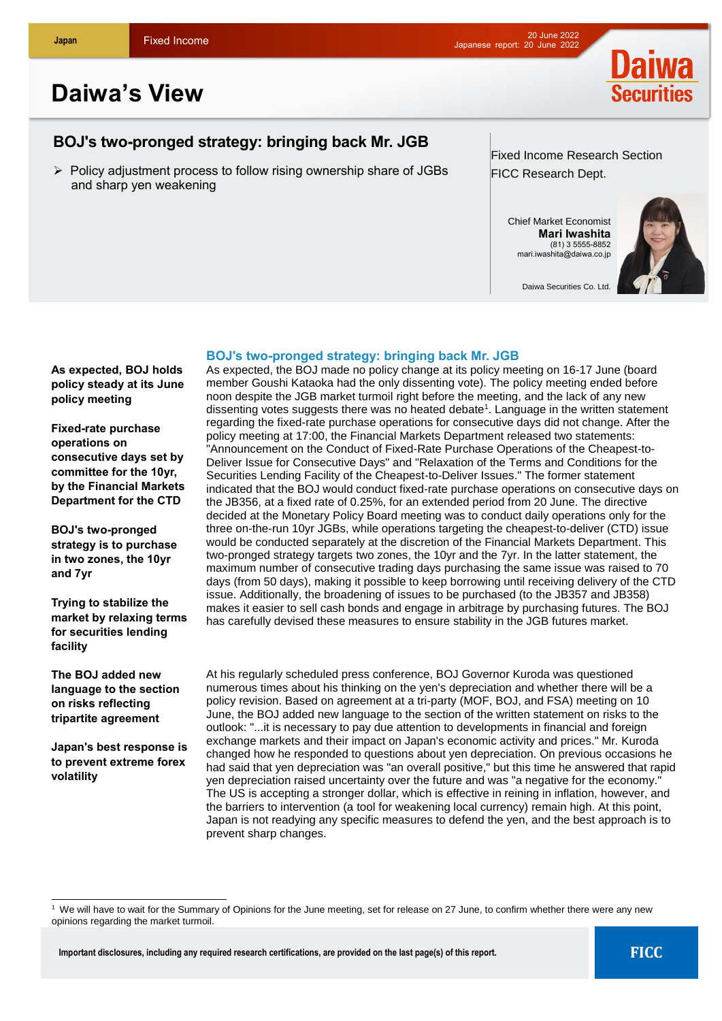

# **Daiwa's View**

## **BOJ's two-pronged strategy: bringing back Mr. JGB**

 $\triangleright$  Policy adjustment process to follow rising ownership share of JGBs and sharp yen weakening

Fixed Income Research Section FICC Research Dept.

Chief Market Economist **Mari Iwashita** (81) 3 5555-8852 mari.iwashita@daiwa.co.jp



Daiwa Securities Co. Ltd.

### **BOJ's two-pronged strategy: bringing back Mr. JGB**

**As expected, BOJ holds policy steady at its June policy meeting**

**Fixed-rate purchase operations on consecutive days set by committee for the 10yr, by the Financial Markets Department for the CTD**

**BOJ's two-pronged strategy is to purchase in two zones, the 10yr and 7yr**

**Trying to stabilize the market by relaxing terms for securities lending facility**

**The BOJ added new language to the section on risks reflecting tripartite agreement**

**Japan's best response is to prevent extreme forex volatility**

 $\overline{\phantom{a}}$ 

As expected, the BOJ made no policy change at its policy meeting on 16-17 June (board member Goushi Kataoka had the only dissenting vote). The policy meeting ended before noon despite the JGB market turmoil right before the meeting, and the lack of any new dissenting votes suggests there was no heated debate<sup>1</sup>. Language in the written statement regarding the fixed-rate purchase operations for consecutive days did not change. After the policy meeting at 17:00, the Financial Markets Department released two statements: "Announcement on the Conduct of Fixed-Rate Purchase Operations of the Cheapest-to-Deliver Issue for Consecutive Days" and "Relaxation of the Terms and Conditions for the Securities Lending Facility of the Cheapest-to-Deliver Issues." The former statement indicated that the BOJ would conduct fixed-rate purchase operations on consecutive days on the JB356, at a fixed rate of 0.25%, for an extended period from 20 June. The directive decided at the Monetary Policy Board meeting was to conduct daily operations only for the three on-the-run 10yr JGBs, while operations targeting the cheapest-to-deliver (CTD) issue would be conducted separately at the discretion of the Financial Markets Department. This two-pronged strategy targets two zones, the 10yr and the 7yr. In the latter statement, the maximum number of consecutive trading days purchasing the same issue was raised to 70 days (from 50 days), making it possible to keep borrowing until receiving delivery of the CTD issue. Additionally, the broadening of issues to be purchased (to the JB357 and JB358) makes it easier to sell cash bonds and engage in arbitrage by purchasing futures. The BOJ has carefully devised these measures to ensure stability in the JGB futures market.

At his regularly scheduled press conference, BOJ Governor Kuroda was questioned numerous times about his thinking on the yen's depreciation and whether there will be a policy revision. Based on agreement at a tri-party (MOF, BOJ, and FSA) meeting on 10 June, the BOJ added new language to the section of the written statement on risks to the outlook: "...it is necessary to pay due attention to developments in financial and foreign exchange markets and their impact on Japan's economic activity and prices." Mr. Kuroda changed how he responded to questions about yen depreciation. On previous occasions he had said that yen depreciation was "an overall positive," but this time he answered that rapid yen depreciation raised uncertainty over the future and was "a negative for the economy." The US is accepting a stronger dollar, which is effective in reining in inflation, however, and the barriers to intervention (a tool for weakening local currency) remain high. At this point, Japan is not readying any specific measures to defend the yen, and the best approach is to prevent sharp changes.

<sup>&</sup>lt;sup>1</sup> We will have to wait for the Summary of Opinions for the June meeting, set for release on 27 June, to confirm whether there were any new opinions regarding the market turmoil.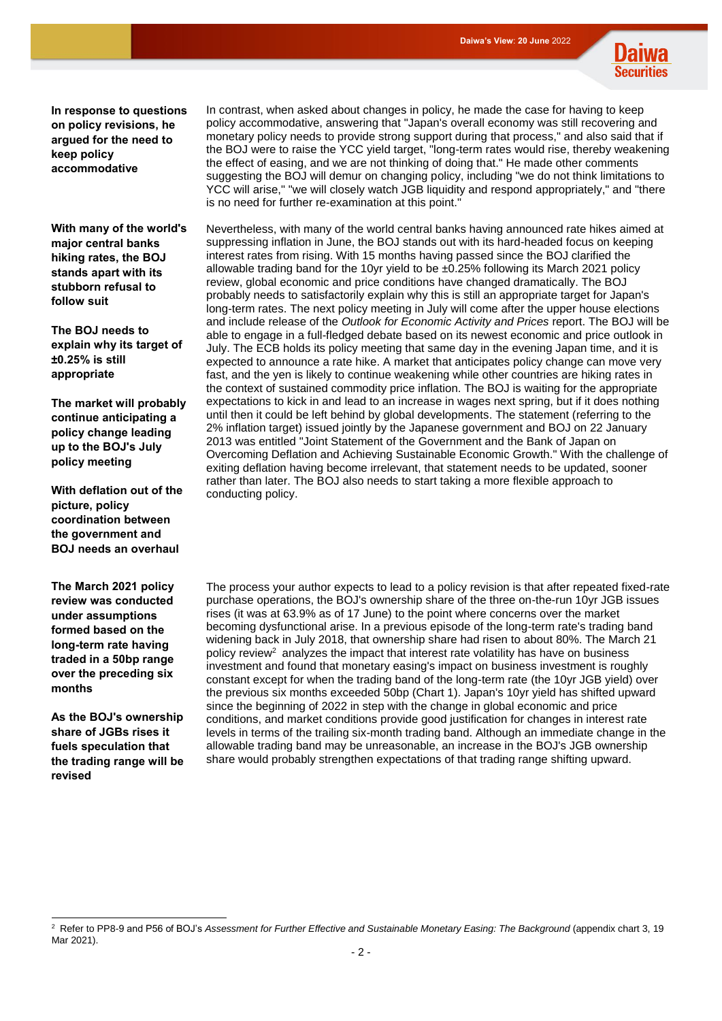

**In response to questions on policy revisions, he argued for the need to keep policy accommodative**

**With many of the world's major central banks hiking rates, the BOJ stands apart with its stubborn refusal to follow suit**

**The BOJ needs to explain why its target of ±0.25% is still appropriate**

**The market will probably continue anticipating a policy change leading up to the BOJ's July policy meeting**

**With deflation out of the picture, policy coordination between the government and BOJ needs an overhaul**

**The March 2021 policy review was conducted under assumptions formed based on the long-term rate having traded in a 50bp range over the preceding six months**

**As the BOJ's ownership share of JGBs rises it fuels speculation that the trading range will be revised**

In contrast, when asked about changes in policy, he made the case for having to keep policy accommodative, answering that "Japan's overall economy was still recovering and monetary policy needs to provide strong support during that process," and also said that if the BOJ were to raise the YCC yield target, "long-term rates would rise, thereby weakening the effect of easing, and we are not thinking of doing that." He made other comments suggesting the BOJ will demur on changing policy, including "we do not think limitations to YCC will arise," "we will closely watch JGB liquidity and respond appropriately," and "there is no need for further re-examination at this point."

Nevertheless, with many of the world central banks having announced rate hikes aimed at suppressing inflation in June, the BOJ stands out with its hard-headed focus on keeping interest rates from rising. With 15 months having passed since the BOJ clarified the allowable trading band for the 10yr yield to be  $\pm 0.25\%$  following its March 2021 policy review, global economic and price conditions have changed dramatically. The BOJ probably needs to satisfactorily explain why this is still an appropriate target for Japan's long-term rates. The next policy meeting in July will come after the upper house elections and include release of the *Outlook for Economic Activity and Prices* report. The BOJ will be able to engage in a full-fledged debate based on its newest economic and price outlook in July. The ECB holds its policy meeting that same day in the evening Japan time, and it is expected to announce a rate hike. A market that anticipates policy change can move very fast, and the yen is likely to continue weakening while other countries are hiking rates in the context of sustained commodity price inflation. The BOJ is waiting for the appropriate expectations to kick in and lead to an increase in wages next spring, but if it does nothing until then it could be left behind by global developments. The statement (referring to the 2% inflation target) issued jointly by the Japanese government and BOJ on 22 January 2013 was entitled "Joint Statement of the Government and the Bank of Japan on Overcoming Deflation and Achieving Sustainable Economic Growth." With the challenge of exiting deflation having become irrelevant, that statement needs to be updated, sooner rather than later. The BOJ also needs to start taking a more flexible approach to conducting policy.

The process your author expects to lead to a policy revision is that after repeated fixed-rate purchase operations, the BOJ's ownership share of the three on-the-run 10yr JGB issues rises (it was at 63.9% as of 17 June) to the point where concerns over the market becoming dysfunctional arise. In a previous episode of the long-term rate's trading band widening back in July 2018, that ownership share had risen to about 80%. The March 21 policy review<sup>2</sup> analyzes the impact that interest rate volatility has have on business investment and found that monetary easing's impact on business investment is roughly constant except for when the trading band of the long-term rate (the 10yr JGB yield) over the previous six months exceeded 50bp (Chart 1). Japan's 10yr yield has shifted upward since the beginning of 2022 in step with the change in global economic and price conditions, and market conditions provide good justification for changes in interest rate levels in terms of the trailing six-month trading band. Although an immediate change in the allowable trading band may be unreasonable, an increase in the BOJ's JGB ownership share would probably strengthen expectations of that trading range shifting upward.

l <sup>2</sup> Refer to PP8-9 and P56 of BOJ's *Assessment for Further Effective and Sustainable Monetary Easing: The Background* (appendix chart 3, 19 Mar 2021).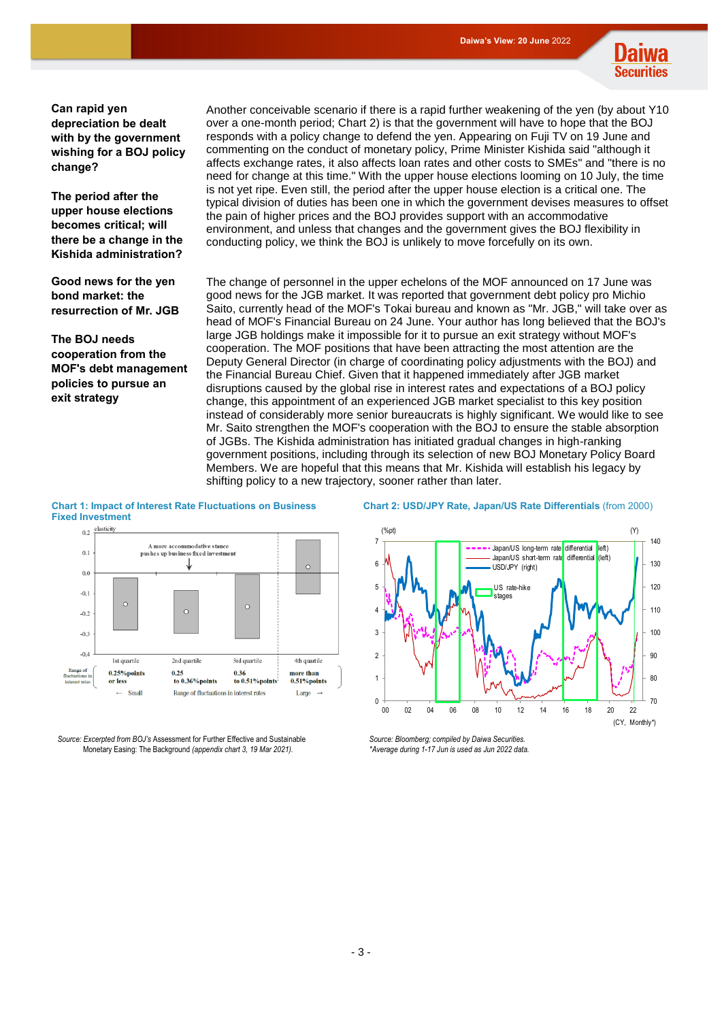

**Can rapid yen depreciation be dealt with by the government wishing for a BOJ policy change?** 

**The period after the upper house elections becomes critical; will there be a change in the Kishida administration?**

**Good news for the yen bond market: the resurrection of Mr. JGB**

**The BOJ needs cooperation from the MOF's debt management policies to pursue an exit strategy**

Another conceivable scenario if there is a rapid further weakening of the yen (by about Y10 over a one-month period; Chart 2) is that the government will have to hope that the BOJ responds with a policy change to defend the yen. Appearing on Fuji TV on 19 June and commenting on the conduct of monetary policy, Prime Minister Kishida said "although it affects exchange rates, it also affects loan rates and other costs to SMEs" and "there is no need for change at this time." With the upper house elections looming on 10 July, the time is not yet ripe. Even still, the period after the upper house election is a critical one. The typical division of duties has been one in which the government devises measures to offset the pain of higher prices and the BOJ provides support with an accommodative environment, and unless that changes and the government gives the BOJ flexibility in conducting policy, we think the BOJ is unlikely to move forcefully on its own.

The change of personnel in the upper echelons of the MOF announced on 17 June was good news for the JGB market. It was reported that government debt policy pro Michio Saito, currently head of the MOF's Tokai bureau and known as "Mr. JGB," will take over as head of MOF's Financial Bureau on 24 June. Your author has long believed that the BOJ's large JGB holdings make it impossible for it to pursue an exit strategy without MOF's cooperation. The MOF positions that have been attracting the most attention are the Deputy General Director (in charge of coordinating policy adjustments with the BOJ) and the Financial Bureau Chief. Given that it happened immediately after JGB market disruptions caused by the global rise in interest rates and expectations of a BOJ policy change, this appointment of an experienced JGB market specialist to this key position instead of considerably more senior bureaucrats is highly significant. We would like to see Mr. Saito strengthen the MOF's cooperation with the BOJ to ensure the stable absorption of JGBs. The Kishida administration has initiated gradual changes in high-ranking government positions, including through its selection of new BOJ Monetary Policy Board Members. We are hopeful that this means that Mr. Kishida will establish his legacy by shifting policy to a new trajectory, sooner rather than later.

### **Chart 1: Impact of Interest Rate Fluctuations on Business Fixed Investment**<br>0.2 elasticity



*Source: Excerpted from BOJ's* Assessment for Further Effective and Sustainable Monetary Easing: The Background *(appendix chart 3, 19 Mar 2021).*

#### **Chart 2: USD/JPY Rate, Japan/US Rate Differentials** (from 2000)



*Source: Bloomberg; compiled by Daiwa Securities. \*Average during 1-17 Jun is used as Jun 2022 data.*